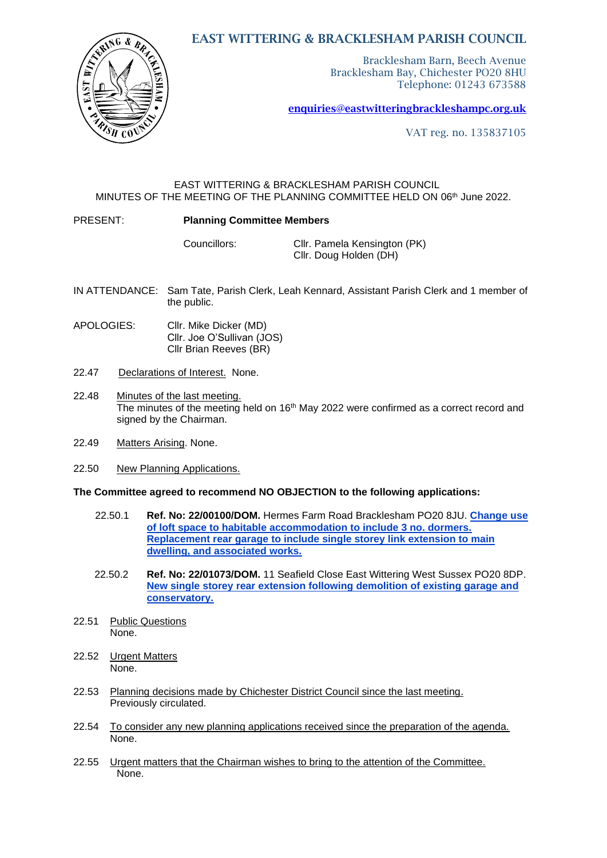# BRICK  $\sqrt{6}$  & **TSAST**

EAST WITTERING & BRACKLESHAM PARISH COUNCIL

Bracklesham Barn, Beech Avenue Bracklesham Bay, Chichester PO20 8HU Telephone: 01243 673588

[enquiries@eastwitteringb](mailto:enquiries@eastwittering)rackleshampc.org.uk

VAT reg. no. 135837105

### EAST WITTERING & BRACKLESHAM PARISH COUNCIL MINUTES OF THE MEETING OF THE PLANNING COMMITTEE HELD ON 06th June 2022.

## PRESENT: **Planning Committee Members**

Councillors: Cllr. Pamela Kensington (PK) Cllr. Doug Holden (DH)

- IN ATTENDANCE: Sam Tate, Parish Clerk, Leah Kennard, Assistant Parish Clerk and 1 member of the public.
- APOLOGIES: Cllr. Mike Dicker (MD) Cllr. Joe O'Sullivan (JOS) Cllr Brian Reeves (BR)
- 22.47 Declarations of Interest. None.
- 22.48 Minutes of the last meeting. The minutes of the meeting held on  $16<sup>th</sup>$  May 2022 were confirmed as a correct record and signed by the Chairman.
- 22.49 Matters Arising. None.
- 22.50 New Planning Applications.

### **The Committee agreed to recommend NO OBJECTION to the following applications:**

- 22.50.1 **Ref. No: 22/00100/DOM.** Hermes Farm Road Bracklesham PO20 8JU. **[Change use](https://publicaccess.chichester.gov.uk/online-applications/applicationDetails.do?activeTab=summary&keyVal=R5UOMKERK7100&prevPage=inTray)  [of loft space to habitable accommodation to include 3 no. dormers.](https://publicaccess.chichester.gov.uk/online-applications/applicationDetails.do?activeTab=summary&keyVal=R5UOMKERK7100&prevPage=inTray)  [Replacement rear garage to include single storey link extension to main](https://publicaccess.chichester.gov.uk/online-applications/applicationDetails.do?activeTab=summary&keyVal=R5UOMKERK7100&prevPage=inTray)  [dwelling, and associated works.](https://publicaccess.chichester.gov.uk/online-applications/applicationDetails.do?activeTab=summary&keyVal=R5UOMKERK7100&prevPage=inTray)**
- 22.50.2 **Ref. No: 22/01073/DOM.** 11 Seafield Close East Wittering West Sussex PO20 8DP. **[New single storey rear extension following demolition of existing garage and](https://publicaccess.chichester.gov.uk/online-applications/applicationDetails.do?activeTab=summary&keyVal=RAOGTTERFXD00&prevPage=inTray)  [conservatory.](https://publicaccess.chichester.gov.uk/online-applications/applicationDetails.do?activeTab=summary&keyVal=RAOGTTERFXD00&prevPage=inTray)**
- 22.51 Public Questions None.
- 22.52 Urgent Matters None.
- 22.53 Planning decisions made by Chichester District Council since the last meeting. Previously circulated.
- 22.54 To consider any new planning applications received since the preparation of the agenda. None.
- 22.55 Urgent matters that the Chairman wishes to bring to the attention of the Committee. None.